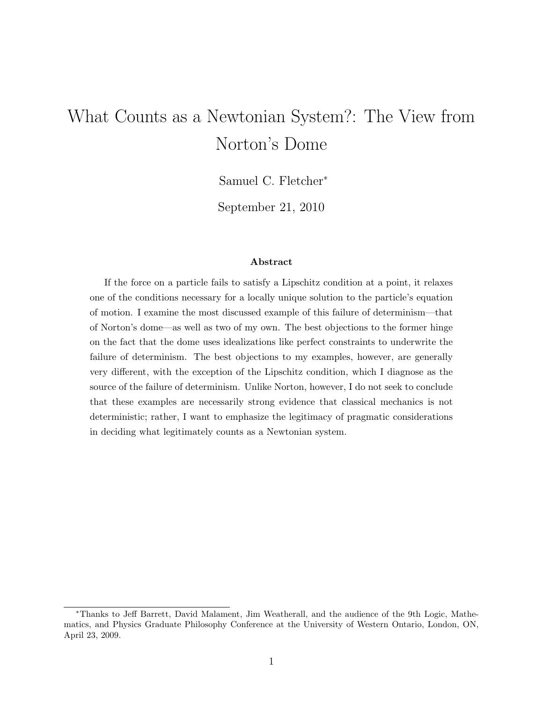# What Counts as a Newtonian System?: The View from Norton's Dome

Samuel C. Fletcher<sup>∗</sup>

September 21, 2010

#### Abstract

If the force on a particle fails to satisfy a Lipschitz condition at a point, it relaxes one of the conditions necessary for a locally unique solution to the particle's equation of motion. I examine the most discussed example of this failure of determinism—that of Norton's dome—as well as two of my own. The best objections to the former hinge on the fact that the dome uses idealizations like perfect constraints to underwrite the failure of determinism. The best objections to my examples, however, are generally very different, with the exception of the Lipschitz condition, which I diagnose as the source of the failure of determinism. Unlike Norton, however, I do not seek to conclude that these examples are necessarily strong evidence that classical mechanics is not deterministic; rather, I want to emphasize the legitimacy of pragmatic considerations in deciding what legitimately counts as a Newtonian system.

<sup>∗</sup>Thanks to Jeff Barrett, David Malament, Jim Weatherall, and the audience of the 9th Logic, Mathematics, and Physics Graduate Philosophy Conference at the University of Western Ontario, London, ON, April 23, 2009.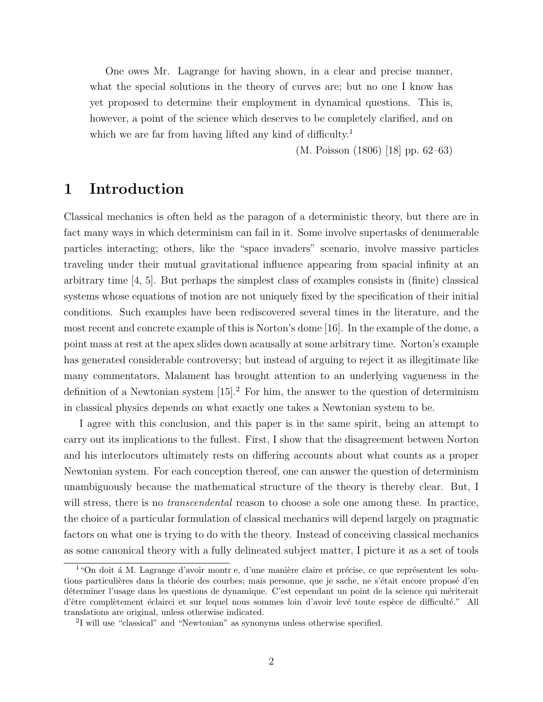One owes Mr. Lagrange for having shown, in a clear and precise manner, what the special solutions in the theory of curves are; but no one I know has yet proposed to determine their employment in dynamical questions. This is, however, a point of the science which deserves to be completely clarified, and on which we are far from having lifted any kind of difficulty.<sup>1</sup>

(M. Poisson (1806) [18] pp. 62–63)

# 1 Introduction

Classical mechanics is often held as the paragon of a deterministic theory, but there are in fact many ways in which determinism can fail in it. Some involve supertasks of denumerable particles interacting; others, like the "space invaders" scenario, involve massive particles traveling under their mutual gravitational influence appearing from spacial infinity at an arbitrary time  $\vert 4, 5 \vert$ . But perhaps the simplest class of examples consists in (finite) classical systems whose equations of motion are not uniquely fixed by the specification of their initial conditions. Such examples have been rediscovered several times in the literature, and the most recent and concrete example of this is Norton's dome [16]. In the example of the dome, a point mass at rest at the apex slides down acausally at some arbitrary time. Norton's example has generated considerable controversy; but instead of arguing to reject it as illegitimate like many commentators, Malament has brought attention to an underlying vagueness in the definition of a Newtonian system  $[15]$ <sup>2</sup>. For him, the answer to the question of determinism in classical physics depends on what exactly one takes a Newtonian system to be.

I agree with this conclusion, and this paper is in the same spirit, being an attempt to carry out its implications to the fullest. First, I show that the disagreement between Norton and his interlocutors ultimately rests on differing accounts about what counts as a proper Newtonian system. For each conception thereof, one can answer the question of determinism unambiguously because the mathematical structure of the theory is thereby clear. But, I will stress, there is no *transcendental* reason to choose a sole one among these. In practice, the choice of a particular formulation of classical mechanics will depend largely on pragmatic factors on what one is trying to do with the theory. Instead of conceiving classical mechanics as some canonical theory with a fully delineated subject matter, I picture it as a set of tools

 $1$ "On doit á M. Lagrange d'avoir montr e, d'une manière claire et précise, ce que représentent les solutions particulières dans la théorie des courbes; mais personne, que je sache, ne s'était encore proposé d'en déterminer l'usage dans les questions de dynamique. C'est cependant un point de la science qui mériterait d'être complètement éclairci et sur lequel nous sommes loin d'avoir levé toute espèce de difficulté." All translations are original, unless otherwise indicated.

<sup>2</sup> I will use "classical" and "Newtonian" as synonyms unless otherwise specified.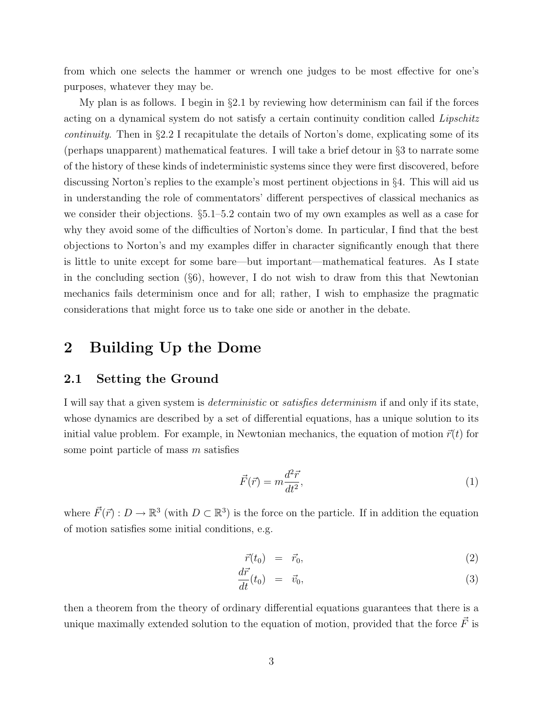from which one selects the hammer or wrench one judges to be most effective for one's purposes, whatever they may be.

My plan is as follows. I begin in §2.1 by reviewing how determinism can fail if the forces acting on a dynamical system do not satisfy a certain continuity condition called Lipschitz continuity. Then in §2.2 I recapitulate the details of Norton's dome, explicating some of its (perhaps unapparent) mathematical features. I will take a brief detour in §3 to narrate some of the history of these kinds of indeterministic systems since they were first discovered, before discussing Norton's replies to the example's most pertinent objections in §4. This will aid us in understanding the role of commentators' different perspectives of classical mechanics as we consider their objections. §5.1–5.2 contain two of my own examples as well as a case for why they avoid some of the difficulties of Norton's dome. In particular, I find that the best objections to Norton's and my examples differ in character significantly enough that there is little to unite except for some bare—but important—mathematical features. As I state in the concluding section  $(\S6)$ , however, I do not wish to draw from this that Newtonian mechanics fails determinism once and for all; rather, I wish to emphasize the pragmatic considerations that might force us to take one side or another in the debate.

# 2 Building Up the Dome

#### 2.1 Setting the Ground

I will say that a given system is deterministic or satisfies determinism if and only if its state, whose dynamics are described by a set of differential equations, has a unique solution to its initial value problem. For example, in Newtonian mechanics, the equation of motion  $\vec{r}(t)$  for some point particle of mass  $m$  satisfies

$$
\vec{F}(\vec{r}) = m \frac{d^2 \vec{r}}{dt^2},\tag{1}
$$

where  $\vec{F}(\vec{r}) : D \to \mathbb{R}^3$  (with  $D \subset \mathbb{R}^3$ ) is the force on the particle. If in addition the equation of motion satisfies some initial conditions, e.g.

$$
\vec{r}(t_0) = \vec{r}_0,\tag{2}
$$

$$
\frac{d\vec{r}}{dt}(t_0) = \vec{v}_0,\tag{3}
$$

then a theorem from the theory of ordinary differential equations guarantees that there is a unique maximally extended solution to the equation of motion, provided that the force  $\vec{F}$  is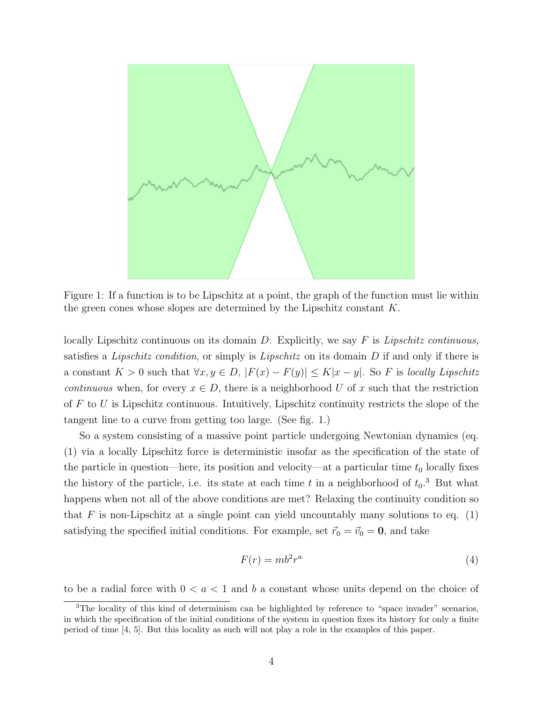

Figure 1: If a function is to be Lipschitz at a point, the graph of the function must lie within the green cones whose slopes are determined by the Lipschitz constant  $K$ .

locally Lipschitz continuous on its domain D. Explicitly, we say F is Lipschitz continuous, satisfies a Lipschitz condition, or simply is Lipschitz on its domain  $D$  if and only if there is a constant  $K > 0$  such that  $\forall x, y \in D, |F(x) - F(y)| \leq K|x - y|$ . So F is locally Lipschitz *continuous* when, for every  $x \in D$ , there is a neighborhood U of x such that the restriction of  $F$  to  $U$  is Lipschitz continuous. Intuitively, Lipschitz continuity restricts the slope of the tangent line to a curve from getting too large. (See fig. 1.)

So a system consisting of a massive point particle undergoing Newtonian dynamics (eq. (1) via a locally Lipschitz force is deterministic insofar as the specification of the state of the particle in question—here, its position and velocity—at a particular time  $t_0$  locally fixes the history of the particle, i.e. its state at each time t in a neighborhood of  $t_0$ .<sup>3</sup> But what happens when not all of the above conditions are met? Relaxing the continuity condition so that F is non-Lipschitz at a single point can yield uncountably many solutions to eq.  $(1)$ satisfying the specified initial conditions. For example, set  $\vec{r}_0 = \vec{v}_0 = \mathbf{0}$ , and take

$$
F(r) = mb^2 r^a \tag{4}
$$

to be a radial force with  $0 < a < 1$  and b a constant whose units depend on the choice of

<sup>&</sup>lt;sup>3</sup>The locality of this kind of determinism can be highlighted by reference to "space invader" scenarios, in which the specification of the initial conditions of the system in question fixes its history for only a finite period of time [4, 5]. But this locality as such will not play a role in the examples of this paper.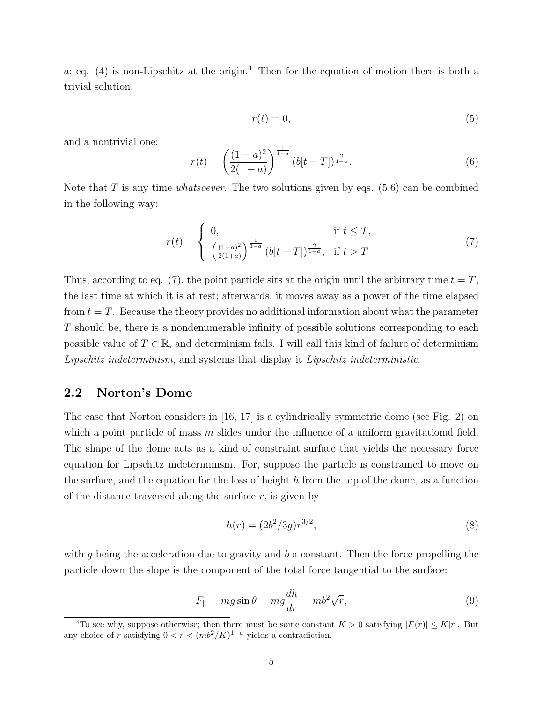a; eq. (4) is non-Lipschitz at the origin.<sup>4</sup> Then for the equation of motion there is both a trivial solution,

$$
r(t) = 0,\t\t(5)
$$

and a nontrivial one:

$$
r(t) = \left(\frac{(1-a)^2}{2(1+a)}\right)^{\frac{1}{1-a}} (b[t-T])^{\frac{2}{1-a}}.
$$
 (6)

Note that T is any time *whatsoever*. The two solutions given by eqs.  $(5,6)$  can be combined in the following way:

$$
r(t) = \begin{cases} 0, & \text{if } t \leq T, \\ \left(\frac{(1-a)^2}{2(1+a)}\right)^{\frac{1}{1-a}} (b[t-T])^{\frac{2}{1-a}}, & \text{if } t > T \end{cases}
$$
 (7)

Thus, according to eq. (7), the point particle sits at the origin until the arbitrary time  $t = T$ , the last time at which it is at rest; afterwards, it moves away as a power of the time elapsed from  $t = T$ . Because the theory provides no additional information about what the parameter T should be, there is a nondenumerable infinity of possible solutions corresponding to each possible value of  $T \in \mathbb{R}$ , and determinism fails. I will call this kind of failure of determinism Lipschitz indeterminism, and systems that display it Lipschitz indeterministic.

### 2.2 Norton's Dome

The case that Norton considers in [16, 17] is a cylindrically symmetric dome (see Fig. 2) on which a point particle of mass  $m$  slides under the influence of a uniform gravitational field. The shape of the dome acts as a kind of constraint surface that yields the necessary force equation for Lipschitz indeterminism. For, suppose the particle is constrained to move on the surface, and the equation for the loss of height  $h$  from the top of the dome, as a function of the distance traversed along the surface  $r$ , is given by

$$
h(r) = (2b^2/3g)r^{3/2},\tag{8}
$$

with g being the acceleration due to gravity and  $b$  a constant. Then the force propelling the particle down the slope is the component of the total force tangential to the surface:

$$
F_{\parallel} = mg\sin\theta = mg\frac{dh}{dr} = mb^2\sqrt{r},\qquad(9)
$$

<sup>&</sup>lt;sup>4</sup>To see why, suppose otherwise; then there must be some constant  $K > 0$  satisfying  $|F(r)| \le K|r|$ . But any choice of r satisfying  $0 < r < (mb^2/K)^{1-a}$  yields a contradiction.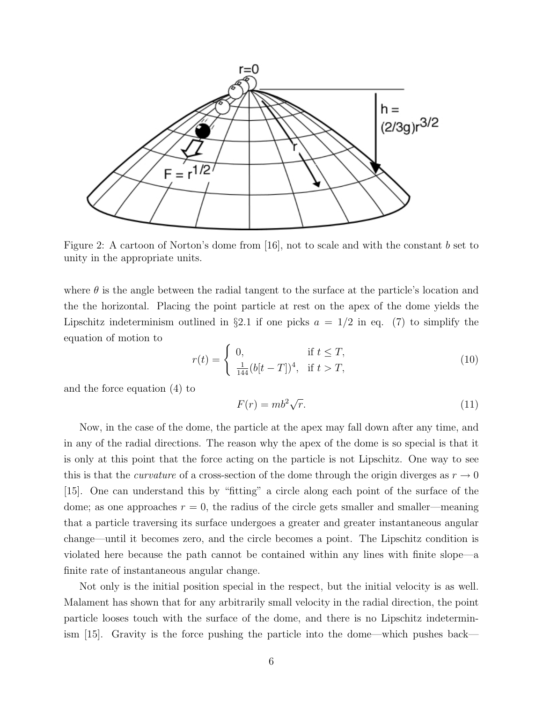

Figure 2: A cartoon of Norton's dome from [16], not to scale and with the constant b set to unity in the appropriate units.

where  $\theta$  is the angle between the radial tangent to the surface at the particle's location and the the horizontal. Placing the point particle at rest on the apex of the dome yields the Lipschitz indeterminism outlined in §2.1 if one picks  $a = 1/2$  in eq. (7) to simplify the equation of motion to

$$
r(t) = \begin{cases} 0, & \text{if } t \le T, \\ \frac{1}{144} (b[t - T])^4, & \text{if } t > T, \end{cases}
$$
 (10)

and the force equation (4) to

$$
F(r) = mb^2 \sqrt{r}.
$$
 (11)

Now, in the case of the dome, the particle at the apex may fall down after any time, and in any of the radial directions. The reason why the apex of the dome is so special is that it is only at this point that the force acting on the particle is not Lipschitz. One way to see this is that the *curvature* of a cross-section of the dome through the origin diverges as  $r \to 0$ [15]. One can understand this by "fitting" a circle along each point of the surface of the dome; as one approaches  $r = 0$ , the radius of the circle gets smaller and smaller—meaning that a particle traversing its surface undergoes a greater and greater instantaneous angular change—until it becomes zero, and the circle becomes a point. The Lipschitz condition is violated here because the path cannot be contained within any lines with finite slope—a finite rate of instantaneous angular change.

Not only is the initial position special in the respect, but the initial velocity is as well. Malament has shown that for any arbitrarily small velocity in the radial direction, the point particle looses touch with the surface of the dome, and there is no Lipschitz indeterminism [15]. Gravity is the force pushing the particle into the dome—which pushes back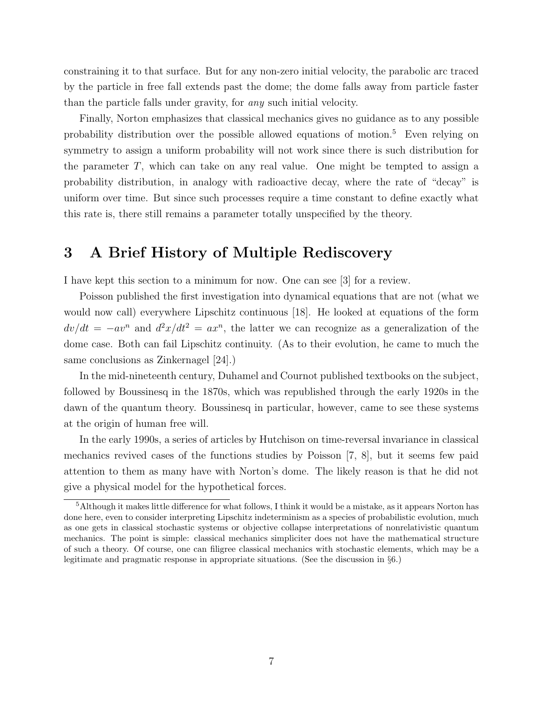constraining it to that surface. But for any non-zero initial velocity, the parabolic arc traced by the particle in free fall extends past the dome; the dome falls away from particle faster than the particle falls under gravity, for any such initial velocity.

Finally, Norton emphasizes that classical mechanics gives no guidance as to any possible probability distribution over the possible allowed equations of motion.<sup>5</sup> Even relying on symmetry to assign a uniform probability will not work since there is such distribution for the parameter  $T$ , which can take on any real value. One might be tempted to assign a probability distribution, in analogy with radioactive decay, where the rate of "decay" is uniform over time. But since such processes require a time constant to define exactly what this rate is, there still remains a parameter totally unspecified by the theory.

# 3 A Brief History of Multiple Rediscovery

I have kept this section to a minimum for now. One can see [3] for a review.

Poisson published the first investigation into dynamical equations that are not (what we would now call) everywhere Lipschitz continuous [18]. He looked at equations of the form  $dv/dt = -av^n$  and  $d^2x/dt^2 = ax^n$ , the latter we can recognize as a generalization of the dome case. Both can fail Lipschitz continuity. (As to their evolution, he came to much the same conclusions as Zinkernagel [24].)

In the mid-nineteenth century, Duhamel and Cournot published textbooks on the subject, followed by Boussinesq in the 1870s, which was republished through the early 1920s in the dawn of the quantum theory. Boussinesq in particular, however, came to see these systems at the origin of human free will.

In the early 1990s, a series of articles by Hutchison on time-reversal invariance in classical mechanics revived cases of the functions studies by Poisson  $(7, 8)$ , but it seems few paid attention to them as many have with Norton's dome. The likely reason is that he did not give a physical model for the hypothetical forces.

<sup>5</sup>Although it makes little difference for what follows, I think it would be a mistake, as it appears Norton has done here, even to consider interpreting Lipschitz indeterminism as a species of probabilistic evolution, much as one gets in classical stochastic systems or objective collapse interpretations of nonrelativistic quantum mechanics. The point is simple: classical mechanics simpliciter does not have the mathematical structure of such a theory. Of course, one can filigree classical mechanics with stochastic elements, which may be a legitimate and pragmatic response in appropriate situations. (See the discussion in §6.)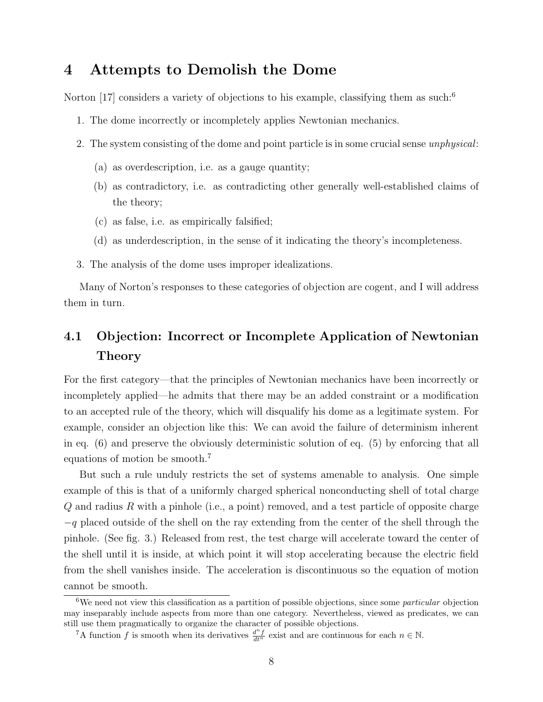# 4 Attempts to Demolish the Dome

Norton [17] considers a variety of objections to his example, classifying them as such:<sup>6</sup>

- 1. The dome incorrectly or incompletely applies Newtonian mechanics.
- 2. The system consisting of the dome and point particle is in some crucial sense unphysical:
	- (a) as overdescription, i.e. as a gauge quantity;
	- (b) as contradictory, i.e. as contradicting other generally well-established claims of the theory;
	- (c) as false, i.e. as empirically falsified;
	- (d) as underdescription, in the sense of it indicating the theory's incompleteness.
- 3. The analysis of the dome uses improper idealizations.

Many of Norton's responses to these categories of objection are cogent, and I will address them in turn.

# 4.1 Objection: Incorrect or Incomplete Application of Newtonian Theory

For the first category—that the principles of Newtonian mechanics have been incorrectly or incompletely applied—he admits that there may be an added constraint or a modification to an accepted rule of the theory, which will disqualify his dome as a legitimate system. For example, consider an objection like this: We can avoid the failure of determinism inherent in eq. (6) and preserve the obviously deterministic solution of eq. (5) by enforcing that all equations of motion be smooth.<sup>7</sup>

But such a rule unduly restricts the set of systems amenable to analysis. One simple example of this is that of a uniformly charged spherical nonconducting shell of total charge  $Q$  and radius R with a pinhole (i.e., a point) removed, and a test particle of opposite charge  $-q$  placed outside of the shell on the ray extending from the center of the shell through the pinhole. (See fig. 3.) Released from rest, the test charge will accelerate toward the center of the shell until it is inside, at which point it will stop accelerating because the electric field from the shell vanishes inside. The acceleration is discontinuous so the equation of motion cannot be smooth.

<sup>&</sup>lt;sup>6</sup>We need not view this classification as a partition of possible objections, since some *particular* objection may inseparably include aspects from more than one category. Nevertheless, viewed as predicates, we can still use them pragmatically to organize the character of possible objections.

<sup>&</sup>lt;sup>7</sup>A function f is smooth when its derivatives  $\frac{d^n f}{dt^n}$  exist and are continuous for each  $n \in \mathbb{N}$ .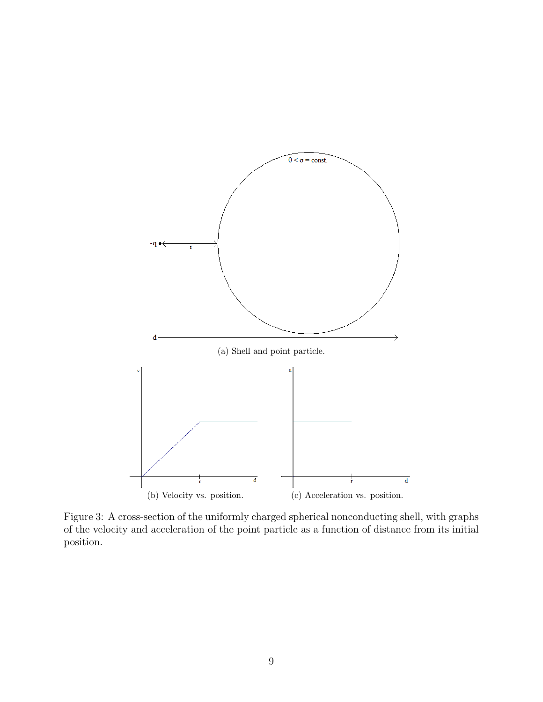

Figure 3: A cross-section of the uniformly charged spherical nonconducting shell, with graphs of the velocity and acceleration of the point particle as a function of distance from its initial position.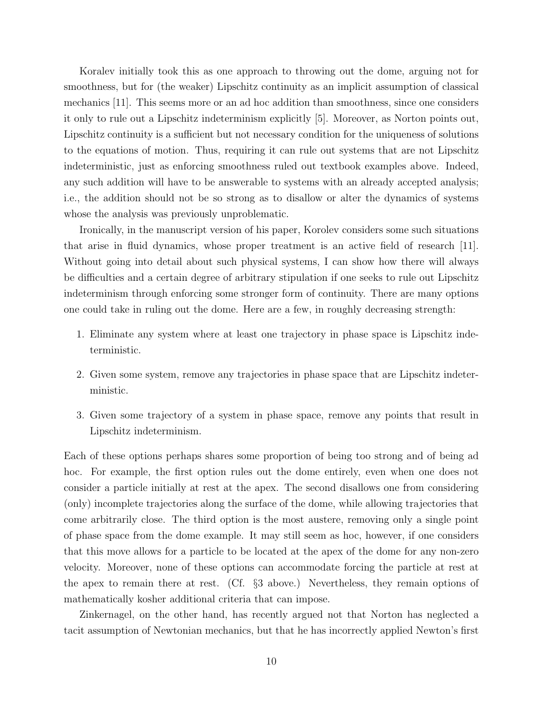Koralev initially took this as one approach to throwing out the dome, arguing not for smoothness, but for (the weaker) Lipschitz continuity as an implicit assumption of classical mechanics [11]. This seems more or an ad hoc addition than smoothness, since one considers it only to rule out a Lipschitz indeterminism explicitly [5]. Moreover, as Norton points out, Lipschitz continuity is a sufficient but not necessary condition for the uniqueness of solutions to the equations of motion. Thus, requiring it can rule out systems that are not Lipschitz indeterministic, just as enforcing smoothness ruled out textbook examples above. Indeed, any such addition will have to be answerable to systems with an already accepted analysis; i.e., the addition should not be so strong as to disallow or alter the dynamics of systems whose the analysis was previously unproblematic.

Ironically, in the manuscript version of his paper, Korolev considers some such situations that arise in fluid dynamics, whose proper treatment is an active field of research [11]. Without going into detail about such physical systems, I can show how there will always be difficulties and a certain degree of arbitrary stipulation if one seeks to rule out Lipschitz indeterminism through enforcing some stronger form of continuity. There are many options one could take in ruling out the dome. Here are a few, in roughly decreasing strength:

- 1. Eliminate any system where at least one trajectory in phase space is Lipschitz indeterministic.
- 2. Given some system, remove any trajectories in phase space that are Lipschitz indeterministic.
- 3. Given some trajectory of a system in phase space, remove any points that result in Lipschitz indeterminism.

Each of these options perhaps shares some proportion of being too strong and of being ad hoc. For example, the first option rules out the dome entirely, even when one does not consider a particle initially at rest at the apex. The second disallows one from considering (only) incomplete trajectories along the surface of the dome, while allowing trajectories that come arbitrarily close. The third option is the most austere, removing only a single point of phase space from the dome example. It may still seem as hoc, however, if one considers that this move allows for a particle to be located at the apex of the dome for any non-zero velocity. Moreover, none of these options can accommodate forcing the particle at rest at the apex to remain there at rest. (Cf. §3 above.) Nevertheless, they remain options of mathematically kosher additional criteria that can impose.

Zinkernagel, on the other hand, has recently argued not that Norton has neglected a tacit assumption of Newtonian mechanics, but that he has incorrectly applied Newton's first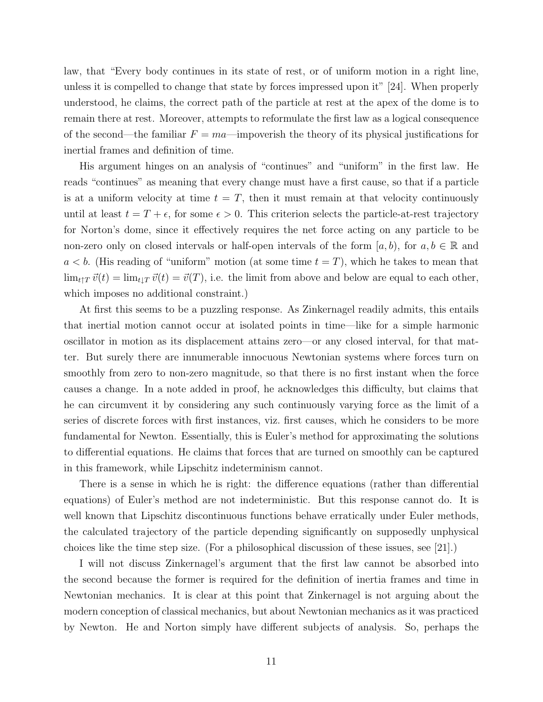law, that "Every body continues in its state of rest, or of uniform motion in a right line, unless it is compelled to change that state by forces impressed upon it" [24]. When properly understood, he claims, the correct path of the particle at rest at the apex of the dome is to remain there at rest. Moreover, attempts to reformulate the first law as a logical consequence of the second—the familiar  $F = ma$ —impoverish the theory of its physical justifications for inertial frames and definition of time.

His argument hinges on an analysis of "continues" and "uniform" in the first law. He reads "continues" as meaning that every change must have a first cause, so that if a particle is at a uniform velocity at time  $t = T$ , then it must remain at that velocity continuously until at least  $t = T + \epsilon$ , for some  $\epsilon > 0$ . This criterion selects the particle-at-rest trajectory for Norton's dome, since it effectively requires the net force acting on any particle to be non-zero only on closed intervals or half-open intervals of the form  $[a, b)$ , for  $a, b \in \mathbb{R}$  and  $a < b$ . (His reading of "uniform" motion (at some time  $t = T$ ), which he takes to mean that  $\lim_{t\uparrow T}\vec{v}(t) = \lim_{t\uparrow T}\vec{v}(t) = \vec{v}(T)$ , i.e. the limit from above and below are equal to each other, which imposes no additional constraint.)

At first this seems to be a puzzling response. As Zinkernagel readily admits, this entails that inertial motion cannot occur at isolated points in time—like for a simple harmonic oscillator in motion as its displacement attains zero—or any closed interval, for that matter. But surely there are innumerable innocuous Newtonian systems where forces turn on smoothly from zero to non-zero magnitude, so that there is no first instant when the force causes a change. In a note added in proof, he acknowledges this difficulty, but claims that he can circumvent it by considering any such continuously varying force as the limit of a series of discrete forces with first instances, viz. first causes, which he considers to be more fundamental for Newton. Essentially, this is Euler's method for approximating the solutions to differential equations. He claims that forces that are turned on smoothly can be captured in this framework, while Lipschitz indeterminism cannot.

There is a sense in which he is right: the difference equations (rather than differential equations) of Euler's method are not indeterministic. But this response cannot do. It is well known that Lipschitz discontinuous functions behave erratically under Euler methods, the calculated trajectory of the particle depending significantly on supposedly unphysical choices like the time step size. (For a philosophical discussion of these issues, see [21].)

I will not discuss Zinkernagel's argument that the first law cannot be absorbed into the second because the former is required for the definition of inertia frames and time in Newtonian mechanics. It is clear at this point that Zinkernagel is not arguing about the modern conception of classical mechanics, but about Newtonian mechanics as it was practiced by Newton. He and Norton simply have different subjects of analysis. So, perhaps the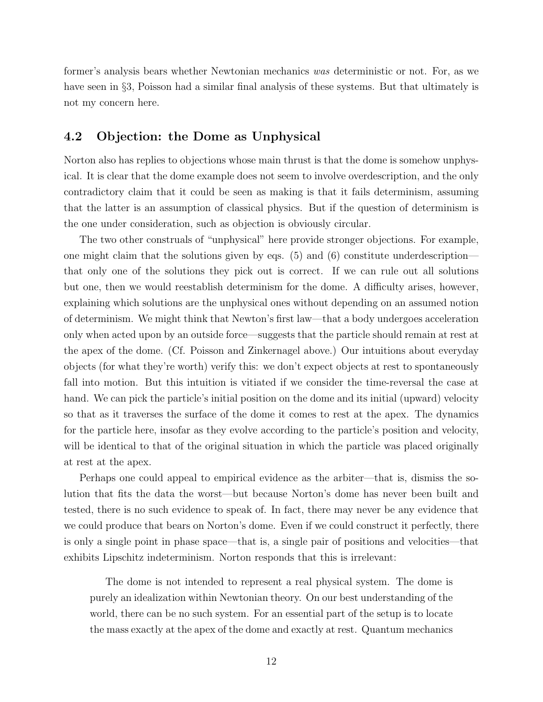former's analysis bears whether Newtonian mechanics was deterministic or not. For, as we have seen in §3, Poisson had a similar final analysis of these systems. But that ultimately is not my concern here.

### 4.2 Objection: the Dome as Unphysical

Norton also has replies to objections whose main thrust is that the dome is somehow unphysical. It is clear that the dome example does not seem to involve overdescription, and the only contradictory claim that it could be seen as making is that it fails determinism, assuming that the latter is an assumption of classical physics. But if the question of determinism is the one under consideration, such as objection is obviously circular.

The two other construals of "unphysical" here provide stronger objections. For example, one might claim that the solutions given by eqs. (5) and (6) constitute underdescription that only one of the solutions they pick out is correct. If we can rule out all solutions but one, then we would reestablish determinism for the dome. A difficulty arises, however, explaining which solutions are the unphysical ones without depending on an assumed notion of determinism. We might think that Newton's first law—that a body undergoes acceleration only when acted upon by an outside force—suggests that the particle should remain at rest at the apex of the dome. (Cf. Poisson and Zinkernagel above.) Our intuitions about everyday objects (for what they're worth) verify this: we don't expect objects at rest to spontaneously fall into motion. But this intuition is vitiated if we consider the time-reversal the case at hand. We can pick the particle's initial position on the dome and its initial (upward) velocity so that as it traverses the surface of the dome it comes to rest at the apex. The dynamics for the particle here, insofar as they evolve according to the particle's position and velocity, will be identical to that of the original situation in which the particle was placed originally at rest at the apex.

Perhaps one could appeal to empirical evidence as the arbiter—that is, dismiss the solution that fits the data the worst—but because Norton's dome has never been built and tested, there is no such evidence to speak of. In fact, there may never be any evidence that we could produce that bears on Norton's dome. Even if we could construct it perfectly, there is only a single point in phase space—that is, a single pair of positions and velocities—that exhibits Lipschitz indeterminism. Norton responds that this is irrelevant:

The dome is not intended to represent a real physical system. The dome is purely an idealization within Newtonian theory. On our best understanding of the world, there can be no such system. For an essential part of the setup is to locate the mass exactly at the apex of the dome and exactly at rest. Quantum mechanics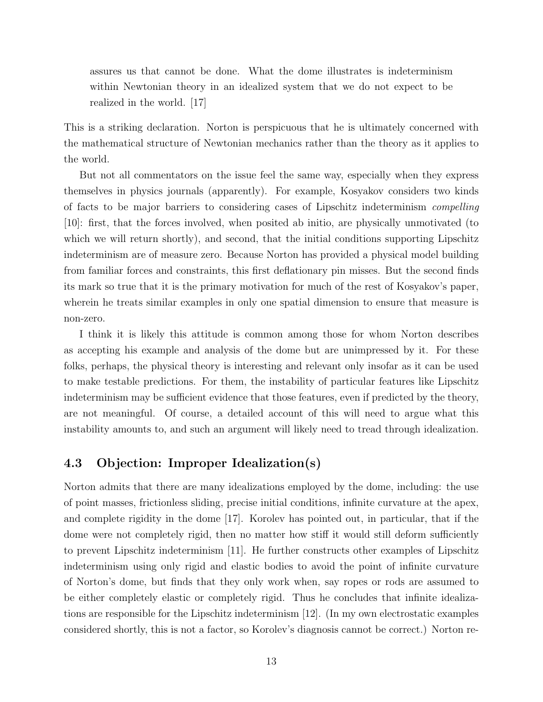assures us that cannot be done. What the dome illustrates is indeterminism within Newtonian theory in an idealized system that we do not expect to be realized in the world. [17]

This is a striking declaration. Norton is perspicuous that he is ultimately concerned with the mathematical structure of Newtonian mechanics rather than the theory as it applies to the world.

But not all commentators on the issue feel the same way, especially when they express themselves in physics journals (apparently). For example, Kosyakov considers two kinds of facts to be major barriers to considering cases of Lipschitz indeterminism compelling [10]: first, that the forces involved, when posited ab initio, are physically unmotivated (to which we will return shortly), and second, that the initial conditions supporting Lipschitz indeterminism are of measure zero. Because Norton has provided a physical model building from familiar forces and constraints, this first deflationary pin misses. But the second finds its mark so true that it is the primary motivation for much of the rest of Kosyakov's paper, wherein he treats similar examples in only one spatial dimension to ensure that measure is non-zero.

I think it is likely this attitude is common among those for whom Norton describes as accepting his example and analysis of the dome but are unimpressed by it. For these folks, perhaps, the physical theory is interesting and relevant only insofar as it can be used to make testable predictions. For them, the instability of particular features like Lipschitz indeterminism may be sufficient evidence that those features, even if predicted by the theory, are not meaningful. Of course, a detailed account of this will need to argue what this instability amounts to, and such an argument will likely need to tread through idealization.

### 4.3 Objection: Improper Idealization(s)

Norton admits that there are many idealizations employed by the dome, including: the use of point masses, frictionless sliding, precise initial conditions, infinite curvature at the apex, and complete rigidity in the dome [17]. Korolev has pointed out, in particular, that if the dome were not completely rigid, then no matter how stiff it would still deform sufficiently to prevent Lipschitz indeterminism [11]. He further constructs other examples of Lipschitz indeterminism using only rigid and elastic bodies to avoid the point of infinite curvature of Norton's dome, but finds that they only work when, say ropes or rods are assumed to be either completely elastic or completely rigid. Thus he concludes that infinite idealizations are responsible for the Lipschitz indeterminism [12]. (In my own electrostatic examples considered shortly, this is not a factor, so Korolev's diagnosis cannot be correct.) Norton re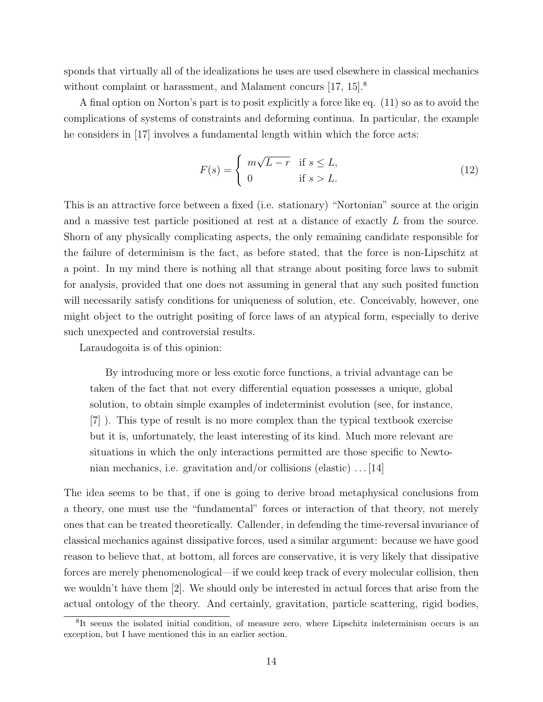sponds that virtually all of the idealizations he uses are used elsewhere in classical mechanics without complaint or harassment, and Malament concurs [17, 15].<sup>8</sup>

A final option on Norton's part is to posit explicitly a force like eq. (11) so as to avoid the complications of systems of constraints and deforming continua. In particular, the example he considers in [17] involves a fundamental length within which the force acts:

$$
F(s) = \begin{cases} m\sqrt{L-r} & \text{if } s \le L, \\ 0 & \text{if } s > L. \end{cases}
$$
 (12)

This is an attractive force between a fixed (i.e. stationary) "Nortonian" source at the origin and a massive test particle positioned at rest at a distance of exactly L from the source. Shorn of any physically complicating aspects, the only remaining candidate responsible for the failure of determinism is the fact, as before stated, that the force is non-Lipschitz at a point. In my mind there is nothing all that strange about positing force laws to submit for analysis, provided that one does not assuming in general that any such posited function will necessarily satisfy conditions for uniqueness of solution, etc. Conceivably, however, one might object to the outright positing of force laws of an atypical form, especially to derive such unexpected and controversial results.

Laraudogoita is of this opinion:

By introducing more or less exotic force functions, a trivial advantage can be taken of the fact that not every differential equation possesses a unique, global solution, to obtain simple examples of indeterminist evolution (see, for instance, [7] ). This type of result is no more complex than the typical textbook exercise but it is, unfortunately, the least interesting of its kind. Much more relevant are situations in which the only interactions permitted are those specific to Newtonian mechanics, i.e. gravitation and/or collisions (elastic)  $\dots$  [14]

The idea seems to be that, if one is going to derive broad metaphysical conclusions from a theory, one must use the "fundamental" forces or interaction of that theory, not merely ones that can be treated theoretically. Callender, in defending the time-reversal invariance of classical mechanics against dissipative forces, used a similar argument: because we have good reason to believe that, at bottom, all forces are conservative, it is very likely that dissipative forces are merely phenomenological—if we could keep track of every molecular collision, then we wouldn't have them [2]. We should only be interested in actual forces that arise from the actual ontology of the theory. And certainly, gravitation, particle scattering, rigid bodies,

<sup>&</sup>lt;sup>8</sup>It seems the isolated initial condition, of measure zero, where Lipschitz indeterminism occurs is an exception, but I have mentioned this in an earlier section.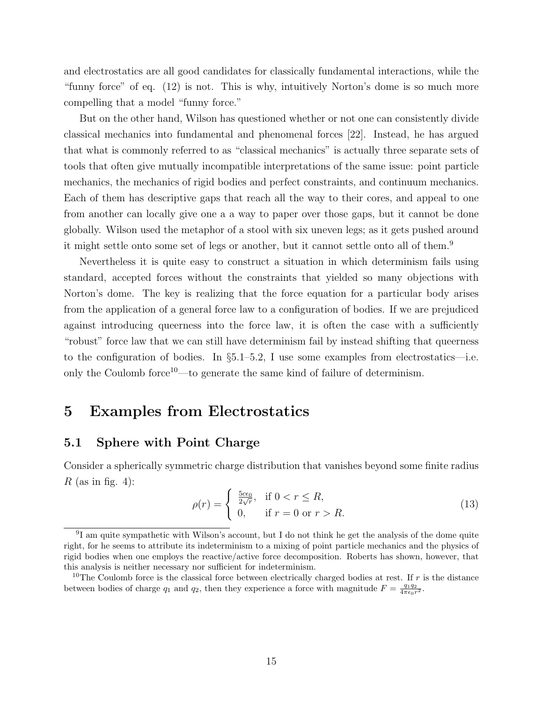and electrostatics are all good candidates for classically fundamental interactions, while the "funny force" of eq. (12) is not. This is why, intuitively Norton's dome is so much more compelling that a model "funny force."

But on the other hand, Wilson has questioned whether or not one can consistently divide classical mechanics into fundamental and phenomenal forces [22]. Instead, he has argued that what is commonly referred to as "classical mechanics" is actually three separate sets of tools that often give mutually incompatible interpretations of the same issue: point particle mechanics, the mechanics of rigid bodies and perfect constraints, and continuum mechanics. Each of them has descriptive gaps that reach all the way to their cores, and appeal to one from another can locally give one a a way to paper over those gaps, but it cannot be done globally. Wilson used the metaphor of a stool with six uneven legs; as it gets pushed around it might settle onto some set of legs or another, but it cannot settle onto all of them.<sup>9</sup>

Nevertheless it is quite easy to construct a situation in which determinism fails using standard, accepted forces without the constraints that yielded so many objections with Norton's dome. The key is realizing that the force equation for a particular body arises from the application of a general force law to a configuration of bodies. If we are prejudiced against introducing queerness into the force law, it is often the case with a sufficiently "robust" force law that we can still have determinism fail by instead shifting that queerness to the configuration of bodies. In  $\S5.1-5.2$ , I use some examples from electrostatics—i.e. only the Coulomb force<sup>10</sup>—to generate the same kind of failure of determinism.

### 5 Examples from Electrostatics

### 5.1 Sphere with Point Charge

Consider a spherically symmetric charge distribution that vanishes beyond some finite radius  $R$  (as in fig. 4):

$$
\rho(r) = \begin{cases} \frac{5c\epsilon_0}{2\sqrt{r}}, & \text{if } 0 < r \le R, \\ 0, & \text{if } r = 0 \text{ or } r > R. \end{cases}
$$
\n(13)

<sup>&</sup>lt;sup>9</sup>I am quite sympathetic with Wilson's account, but I do not think he get the analysis of the dome quite right, for he seems to attribute its indeterminism to a mixing of point particle mechanics and the physics of rigid bodies when one employs the reactive/active force decomposition. Roberts has shown, however, that this analysis is neither necessary nor sufficient for indeterminism.

<sup>&</sup>lt;sup>10</sup>The Coulomb force is the classical force between electrically charged bodies at rest. If r is the distance between bodies of charge  $q_1$  and  $q_2$ , then they experience a force with magnitude  $F = \frac{q_1 q_2}{4\pi\epsilon_0 r^2}$ .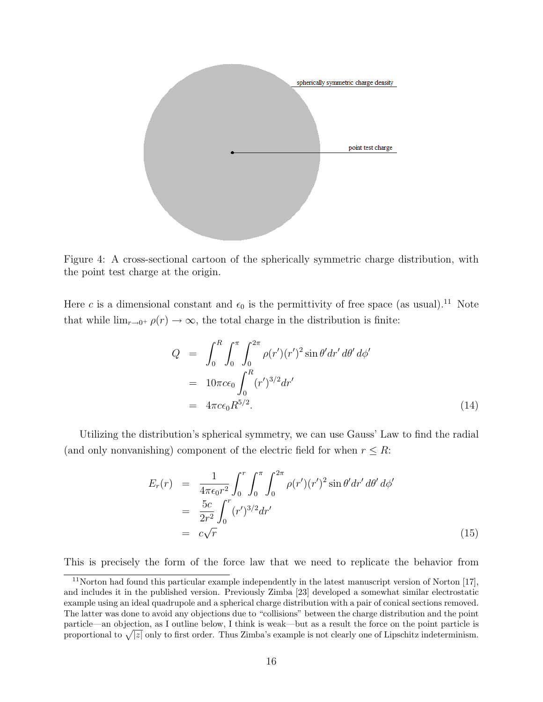

Figure 4: A cross-sectional cartoon of the spherically symmetric charge distribution, with the point test charge at the origin.

Here c is a dimensional constant and  $\epsilon_0$  is the permittivity of free space (as usual).<sup>11</sup> Note that while  $\lim_{r\to 0^+} \rho(r) \to \infty$ , the total charge in the distribution is finite:

$$
Q = \int_0^R \int_0^{\pi} \int_0^{2\pi} \rho(r') (r')^2 \sin \theta' dr' d\theta' d\phi'
$$
  
=  $10\pi c \epsilon_0 \int_0^R (r')^{3/2} dr'$   
=  $4\pi c \epsilon_0 R^{5/2}$ . (14)

Utilizing the distribution's spherical symmetry, we can use Gauss' Law to find the radial (and only nonvanishing) component of the electric field for when  $r \leq R$ :

$$
E_r(r) = \frac{1}{4\pi\epsilon_0 r^2} \int_0^r \int_0^{\pi} \int_0^{2\pi} \rho(r') (r')^2 \sin\theta' dr' d\theta' d\phi'
$$
  
= 
$$
\frac{5c}{2r^2} \int_0^r (r')^{3/2} dr'
$$
  
= 
$$
c\sqrt{r}
$$
 (15)

This is precisely the form of the force law that we need to replicate the behavior from

 $11$ Norton had found this particular example independently in the latest manuscript version of Norton [17]. and includes it in the published version. Previously Zimba [23] developed a somewhat similar electrostatic example using an ideal quadrupole and a spherical charge distribution with a pair of conical sections removed. The latter was done to avoid any objections due to "collisions" between the charge distribution and the point particle—an objection, as I outline below, I think is weak—but as a result the force on the point particle is proportional to  $\sqrt{|z|}$  only to first order. Thus Zimba's example is not clearly one of Lipschitz indeterminism.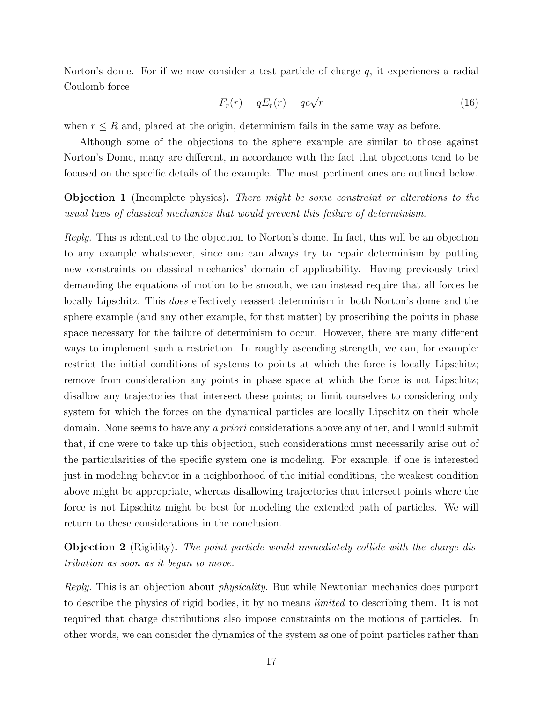Norton's dome. For if we now consider a test particle of charge  $q$ , it experiences a radial Coulomb force

$$
F_r(r) = qE_r(r) = qc\sqrt{r}
$$
\n(16)

when  $r \leq R$  and, placed at the origin, determinism fails in the same way as before.

Although some of the objections to the sphere example are similar to those against Norton's Dome, many are different, in accordance with the fact that objections tend to be focused on the specific details of the example. The most pertinent ones are outlined below.

Objection 1 (Incomplete physics). There might be some constraint or alterations to the usual laws of classical mechanics that would prevent this failure of determinism.

Reply. This is identical to the objection to Norton's dome. In fact, this will be an objection to any example whatsoever, since one can always try to repair determinism by putting new constraints on classical mechanics' domain of applicability. Having previously tried demanding the equations of motion to be smooth, we can instead require that all forces be locally Lipschitz. This *does* effectively reassert determinism in both Norton's dome and the sphere example (and any other example, for that matter) by proscribing the points in phase space necessary for the failure of determinism to occur. However, there are many different ways to implement such a restriction. In roughly ascending strength, we can, for example: restrict the initial conditions of systems to points at which the force is locally Lipschitz; remove from consideration any points in phase space at which the force is not Lipschitz; disallow any trajectories that intersect these points; or limit ourselves to considering only system for which the forces on the dynamical particles are locally Lipschitz on their whole domain. None seems to have any a priori considerations above any other, and I would submit that, if one were to take up this objection, such considerations must necessarily arise out of the particularities of the specific system one is modeling. For example, if one is interested just in modeling behavior in a neighborhood of the initial conditions, the weakest condition above might be appropriate, whereas disallowing trajectories that intersect points where the force is not Lipschitz might be best for modeling the extended path of particles. We will return to these considerations in the conclusion.

Objection 2 (Rigidity). The point particle would immediately collide with the charge distribution as soon as it began to move.

Reply. This is an objection about physicality. But while Newtonian mechanics does purport to describe the physics of rigid bodies, it by no means limited to describing them. It is not required that charge distributions also impose constraints on the motions of particles. In other words, we can consider the dynamics of the system as one of point particles rather than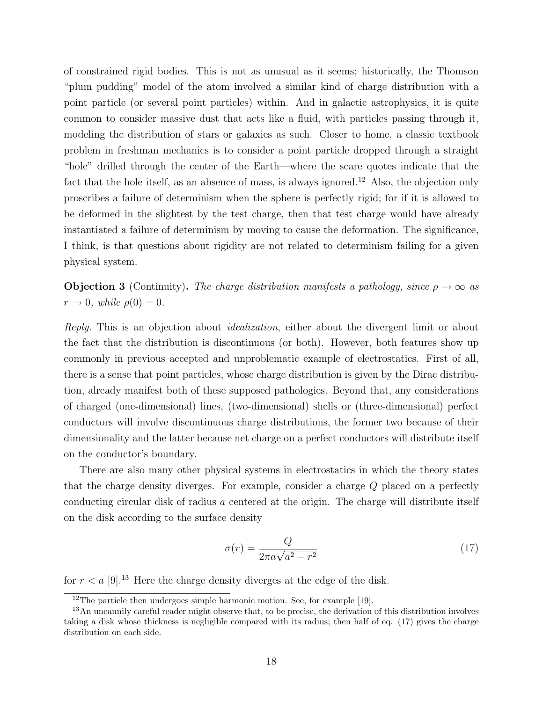of constrained rigid bodies. This is not as unusual as it seems; historically, the Thomson "plum pudding" model of the atom involved a similar kind of charge distribution with a point particle (or several point particles) within. And in galactic astrophysics, it is quite common to consider massive dust that acts like a fluid, with particles passing through it, modeling the distribution of stars or galaxies as such. Closer to home, a classic textbook problem in freshman mechanics is to consider a point particle dropped through a straight "hole" drilled through the center of the Earth—where the scare quotes indicate that the fact that the hole itself, as an absence of mass, is always ignored.<sup>12</sup> Also, the objection only proscribes a failure of determinism when the sphere is perfectly rigid; for if it is allowed to be deformed in the slightest by the test charge, then that test charge would have already instantiated a failure of determinism by moving to cause the deformation. The significance, I think, is that questions about rigidity are not related to determinism failing for a given physical system.

**Objection 3** (Continuity). The charge distribution manifests a pathology, since  $\rho \to \infty$  as  $r \rightarrow 0$ , while  $\rho(0) = 0$ .

Reply. This is an objection about *idealization*, either about the divergent limit or about the fact that the distribution is discontinuous (or both). However, both features show up commonly in previous accepted and unproblematic example of electrostatics. First of all, there is a sense that point particles, whose charge distribution is given by the Dirac distribution, already manifest both of these supposed pathologies. Beyond that, any considerations of charged (one-dimensional) lines, (two-dimensional) shells or (three-dimensional) perfect conductors will involve discontinuous charge distributions, the former two because of their dimensionality and the latter because net charge on a perfect conductors will distribute itself on the conductor's boundary.

There are also many other physical systems in electrostatics in which the theory states that the charge density diverges. For example, consider a charge Q placed on a perfectly conducting circular disk of radius a centered at the origin. The charge will distribute itself on the disk according to the surface density

$$
\sigma(r) = \frac{Q}{2\pi a\sqrt{a^2 - r^2}}\tag{17}
$$

for  $r < a$  [9].<sup>13</sup> Here the charge density diverges at the edge of the disk.

 $12$ The particle then undergoes simple harmonic motion. See, for example [19].

<sup>&</sup>lt;sup>13</sup>An uncannily careful reader might observe that, to be precise, the derivation of this distribution involves taking a disk whose thickness is negligible compared with its radius; then half of eq. (17) gives the charge distribution on each side.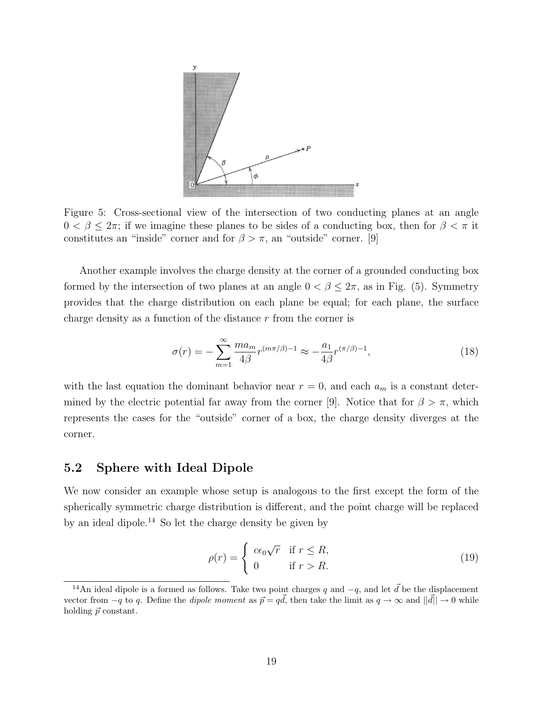

Figure 5: Cross-sectional view of the intersection of two conducting planes at an angle  $0 < \beta < 2\pi$ ; if we imagine these planes to be sides of a conducting box, then for  $\beta < \pi$  it constitutes an "inside" corner and for  $\beta > \pi$ , an "outside" corner. [9]

Another example involves the charge density at the corner of a grounded conducting box formed by the intersection of two planes at an angle  $0 < \beta \leq 2\pi$ , as in Fig. (5). Symmetry provides that the charge distribution on each plane be equal; for each plane, the surface charge density as a function of the distance r from the corner is

$$
\sigma(r) = -\sum_{m=1}^{\infty} \frac{ma_m}{4\beta} r^{(m\pi/\beta)-1} \approx -\frac{a_1}{4\beta} r^{(\pi/\beta)-1},\tag{18}
$$

with the last equation the dominant behavior near  $r = 0$ , and each  $a_m$  is a constant determined by the electric potential far away from the corner [9]. Notice that for  $\beta > \pi$ , which represents the cases for the "outside" corner of a box, the charge density diverges at the corner.

### 5.2 Sphere with Ideal Dipole

We now consider an example whose setup is analogous to the first except the form of the spherically symmetric charge distribution is different, and the point charge will be replaced by an ideal dipole.<sup>14</sup> So let the charge density be given by

$$
\rho(r) = \begin{cases} c\epsilon_0 \sqrt{r} & \text{if } r \le R, \\ 0 & \text{if } r > R. \end{cases}
$$
\n(19)

<sup>&</sup>lt;sup>14</sup>An ideal dipole is a formed as follows. Take two point charges q and  $-q$ , and let  $\vec{d}$  be the displacement vector from  $-q$  to q. Define the *dipole moment* as  $\vec{p} = q\vec{d}$ , then take the limit as  $q \to \infty$  and  $||\vec{d}|| \to 0$  while holding  $\vec{p}$  constant.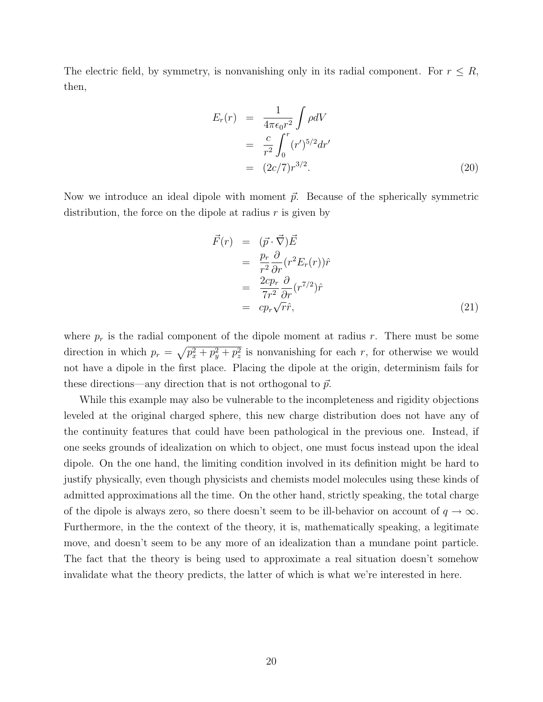The electric field, by symmetry, is nonvanishing only in its radial component. For  $r \leq R$ , then,

$$
E_r(r) = \frac{1}{4\pi\epsilon_0 r^2} \int \rho dV
$$
  
=  $\frac{c}{r^2} \int_0^r (r')^{5/2} dr'$   
=  $(2c/7)r^{3/2}$ . (20)

Now we introduce an ideal dipole with moment  $\vec{p}$ . Because of the spherically symmetric distribution, the force on the dipole at radius  $r$  is given by

$$
\begin{aligned}\n\vec{F}(r) &= (\vec{p} \cdot \vec{\nabla}) \vec{E} \\
&= \frac{p_r}{r^2} \frac{\partial}{\partial r} (r^2 E_r(r)) \hat{r} \\
&= \frac{2c p_r}{7r^2} \frac{\partial}{\partial r} (r^{7/2}) \hat{r} \\
&= c p_r \sqrt{r} \hat{r},\n\end{aligned} \tag{21}
$$

where  $p_r$  is the radial component of the dipole moment at radius r. There must be some direction in which  $p_r = \sqrt{p_x^2 + p_y^2 + p_z^2}$  is nonvanishing for each r, for otherwise we would not have a dipole in the first place. Placing the dipole at the origin, determinism fails for these directions—any direction that is not orthogonal to  $\vec{p}$ .

While this example may also be vulnerable to the incompleteness and rigidity objections leveled at the original charged sphere, this new charge distribution does not have any of the continuity features that could have been pathological in the previous one. Instead, if one seeks grounds of idealization on which to object, one must focus instead upon the ideal dipole. On the one hand, the limiting condition involved in its definition might be hard to justify physically, even though physicists and chemists model molecules using these kinds of admitted approximations all the time. On the other hand, strictly speaking, the total charge of the dipole is always zero, so there doesn't seem to be ill-behavior on account of  $q \to \infty$ . Furthermore, in the the context of the theory, it is, mathematically speaking, a legitimate move, and doesn't seem to be any more of an idealization than a mundane point particle. The fact that the theory is being used to approximate a real situation doesn't somehow invalidate what the theory predicts, the latter of which is what we're interested in here.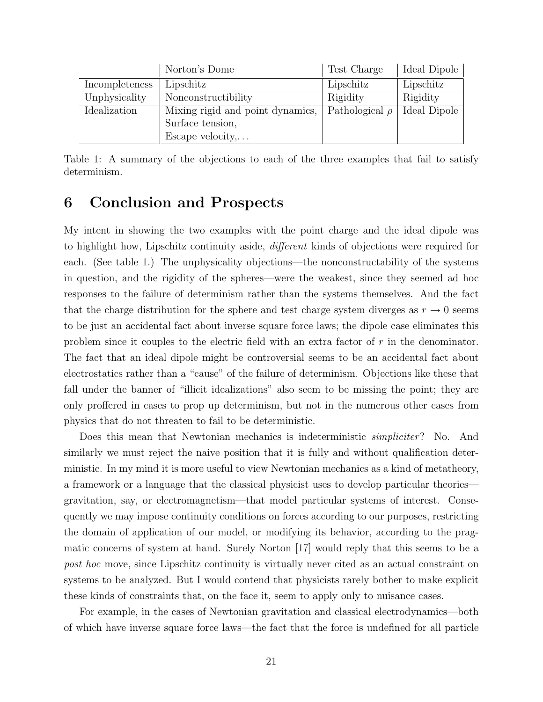|                | Norton's Dome                    | Test Charge         | Ideal Dipole |
|----------------|----------------------------------|---------------------|--------------|
| Incompleteness | Lipschitz                        | Lipschitz           | Lipschitz    |
| Unphysicality  | Nonconstructibility              | Rigidity            | Rigidity     |
| Idealization   | Mixing rigid and point dynamics, | Pathological $\rho$ | Ideal Dipole |
|                | Surface tension,                 |                     |              |
|                | Escape velocity,                 |                     |              |

Table 1: A summary of the objections to each of the three examples that fail to satisfy determinism.

# 6 Conclusion and Prospects

My intent in showing the two examples with the point charge and the ideal dipole was to highlight how, Lipschitz continuity aside, different kinds of objections were required for each. (See table 1.) The unphysicality objections—the nonconstructability of the systems in question, and the rigidity of the spheres—were the weakest, since they seemed ad hoc responses to the failure of determinism rather than the systems themselves. And the fact that the charge distribution for the sphere and test charge system diverges as  $r \to 0$  seems to be just an accidental fact about inverse square force laws; the dipole case eliminates this problem since it couples to the electric field with an extra factor of r in the denominator. The fact that an ideal dipole might be controversial seems to be an accidental fact about electrostatics rather than a "cause" of the failure of determinism. Objections like these that fall under the banner of "illicit idealizations" also seem to be missing the point; they are only proffered in cases to prop up determinism, but not in the numerous other cases from physics that do not threaten to fail to be deterministic.

Does this mean that Newtonian mechanics is indeterministic *simpliciter*? No. And similarly we must reject the naive position that it is fully and without qualification deterministic. In my mind it is more useful to view Newtonian mechanics as a kind of metatheory, a framework or a language that the classical physicist uses to develop particular theories gravitation, say, or electromagnetism—that model particular systems of interest. Consequently we may impose continuity conditions on forces according to our purposes, restricting the domain of application of our model, or modifying its behavior, according to the pragmatic concerns of system at hand. Surely Norton [17] would reply that this seems to be a post hoc move, since Lipschitz continuity is virtually never cited as an actual constraint on systems to be analyzed. But I would contend that physicists rarely bother to make explicit these kinds of constraints that, on the face it, seem to apply only to nuisance cases.

For example, in the cases of Newtonian gravitation and classical electrodynamics—both of which have inverse square force laws—the fact that the force is undefined for all particle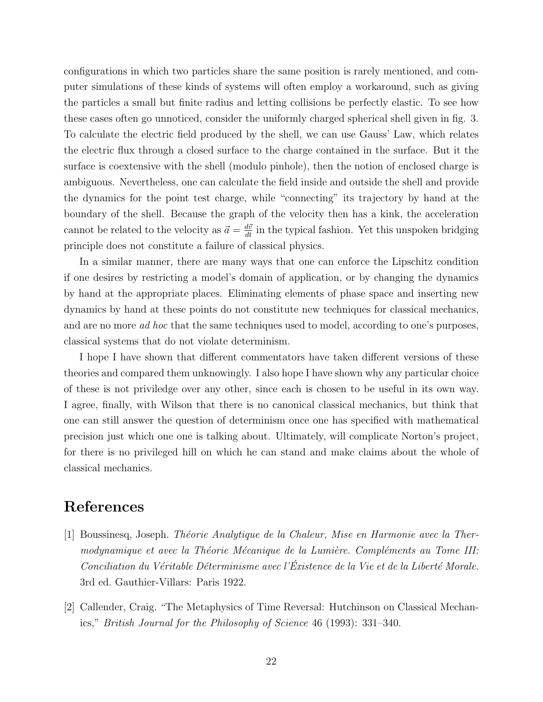configurations in which two particles share the same position is rarely mentioned, and computer simulations of these kinds of systems will often employ a workaround, such as giving the particles a small but finite radius and letting collisions be perfectly elastic. To see how these cases often go unnoticed, consider the uniformly charged spherical shell given in fig. 3. To calculate the electric field produced by the shell, we can use Gauss' Law, which relates the electric flux through a closed surface to the charge contained in the surface. But it the surface is coextensive with the shell (modulo pinhole), then the notion of enclosed charge is ambiguous. Nevertheless, one can calculate the field inside and outside the shell and provide the dynamics for the point test charge, while "connecting" its trajectory by hand at the boundary of the shell. Because the graph of the velocity then has a kink, the acceleration cannot be related to the velocity as  $\vec{a} = \frac{d\vec{v}}{dt}$  in the typical fashion. Yet this unspoken bridging principle does not constitute a failure of classical physics.

In a similar manner, there are many ways that one can enforce the Lipschitz condition if one desires by restricting a model's domain of application, or by changing the dynamics by hand at the appropriate places. Eliminating elements of phase space and inserting new dynamics by hand at these points do not constitute new techniques for classical mechanics, and are no more ad hoc that the same techniques used to model, according to one's purposes, classical systems that do not violate determinism.

I hope I have shown that different commentators have taken different versions of these theories and compared them unknowingly. I also hope I have shown why any particular choice of these is not priviledge over any other, since each is chosen to be useful in its own way. I agree, finally, with Wilson that there is no canonical classical mechanics, but think that one can still answer the question of determinism once one has specified with mathematical precision just which one one is talking about. Ultimately, will complicate Norton's project, for there is no privileged hill on which he can stand and make claims about the whole of classical mechanics.

### References

- [1] Boussinesq, Joseph. Théorie Analytique de la Chaleur, Mise en Harmonie avec la Thermodynamique et avec la Théorie Mécanique de la Lumière. Compléments au Tome III:  $Concilation\ du\ V\acute{e}ritable\ D\acute{e}terminisme\ avec\ l'\acute{E}xistence\ de\ la\ Vie\ et\ de\ la\ Libert\acute{e}\ Morale.$ 3rd ed. Gauthier-Villars: Paris 1922.
- [2] Callender, Craig. "The Metaphysics of Time Reversal: Hutchinson on Classical Mechanics," British Journal for the Philosophy of Science 46 (1993): 331–340.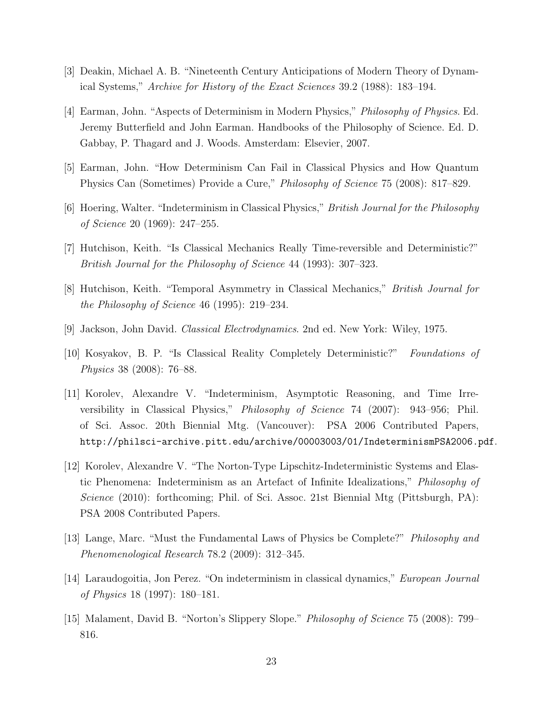- [3] Deakin, Michael A. B. "Nineteenth Century Anticipations of Modern Theory of Dynamical Systems," Archive for History of the Exact Sciences 39.2 (1988): 183–194.
- [4] Earman, John. "Aspects of Determinism in Modern Physics," Philosophy of Physics. Ed. Jeremy Butterfield and John Earman. Handbooks of the Philosophy of Science. Ed. D. Gabbay, P. Thagard and J. Woods. Amsterdam: Elsevier, 2007.
- [5] Earman, John. "How Determinism Can Fail in Classical Physics and How Quantum Physics Can (Sometimes) Provide a Cure," Philosophy of Science 75 (2008): 817–829.
- [6] Hoering, Walter. "Indeterminism in Classical Physics," British Journal for the Philosophy of Science 20 (1969): 247–255.
- [7] Hutchison, Keith. "Is Classical Mechanics Really Time-reversible and Deterministic?" British Journal for the Philosophy of Science 44 (1993): 307–323.
- [8] Hutchison, Keith. "Temporal Asymmetry in Classical Mechanics," British Journal for the Philosophy of Science 46 (1995): 219–234.
- [9] Jackson, John David. Classical Electrodynamics. 2nd ed. New York: Wiley, 1975.
- [10] Kosyakov, B. P. "Is Classical Reality Completely Deterministic?" Foundations of Physics 38 (2008): 76–88.
- [11] Korolev, Alexandre V. "Indeterminism, Asymptotic Reasoning, and Time Irreversibility in Classical Physics," Philosophy of Science 74 (2007): 943–956; Phil. of Sci. Assoc. 20th Biennial Mtg. (Vancouver): PSA 2006 Contributed Papers, http://philsci-archive.pitt.edu/archive/00003003/01/IndeterminismPSA2006.pdf.
- [12] Korolev, Alexandre V. "The Norton-Type Lipschitz-Indeterministic Systems and Elastic Phenomena: Indeterminism as an Artefact of Infinite Idealizations," Philosophy of Science (2010): forthcoming; Phil. of Sci. Assoc. 21st Biennial Mtg (Pittsburgh, PA): PSA 2008 Contributed Papers.
- [13] Lange, Marc. "Must the Fundamental Laws of Physics be Complete?" Philosophy and Phenomenological Research 78.2 (2009): 312–345.
- [14] Laraudogoitia, Jon Perez. "On indeterminism in classical dynamics," European Journal of Physics 18 (1997): 180–181.
- [15] Malament, David B. "Norton's Slippery Slope." Philosophy of Science 75 (2008): 799– 816.